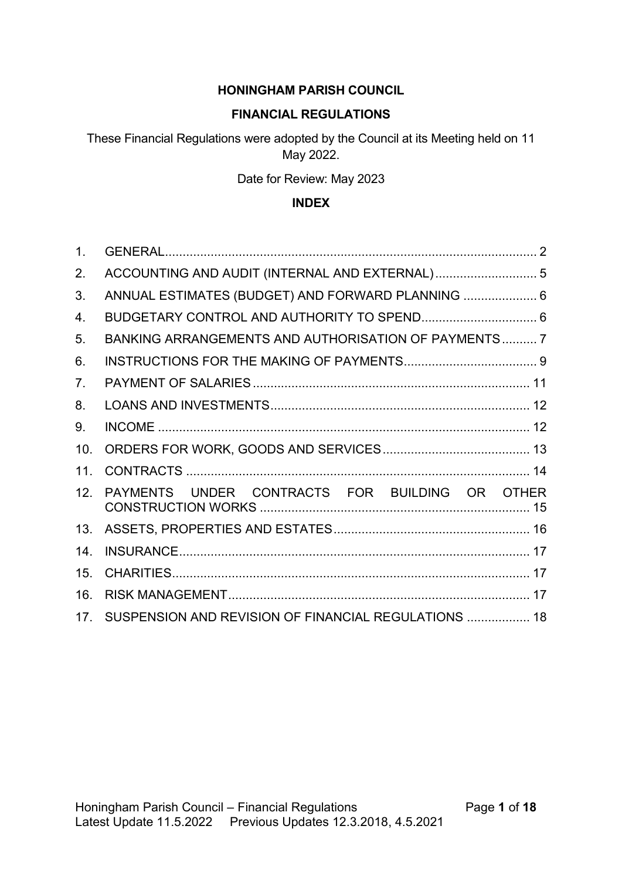### **HONINGHAM PARISH COUNCIL**

### **FINANCIAL REGULATIONS**

These Financial Regulations were adopted by the Council at its Meeting held on 11 May 2022.

Date for Review: May 2023

### **INDEX**

| 1.             |                                                      |  |
|----------------|------------------------------------------------------|--|
| 2.             |                                                      |  |
| 3.             | ANNUAL ESTIMATES (BUDGET) AND FORWARD PLANNING  6    |  |
| 4.             |                                                      |  |
| 5.             | BANKING ARRANGEMENTS AND AUTHORISATION OF PAYMENTS 7 |  |
| 6.             |                                                      |  |
| 7 <sub>1</sub> |                                                      |  |
| 8.             |                                                      |  |
| 9.             |                                                      |  |
| 10.            |                                                      |  |
| 11.            |                                                      |  |
| 12.            | PAYMENTS UNDER CONTRACTS FOR BUILDING OR OTHER       |  |
| 13.            |                                                      |  |
| 14.            |                                                      |  |
| 15.            |                                                      |  |
| 16.            |                                                      |  |
| 17.            | SUSPENSION AND REVISION OF FINANCIAL REGULATIONS  18 |  |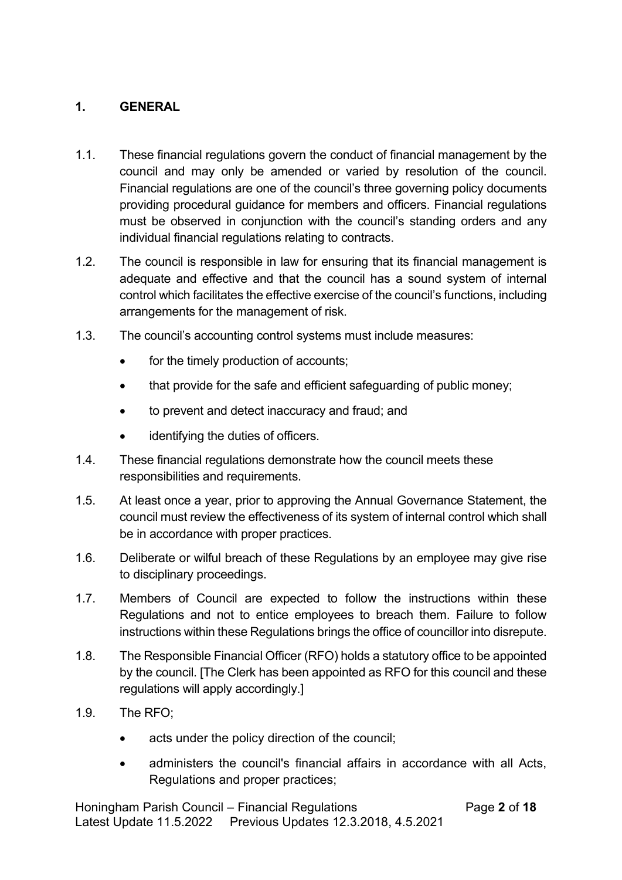### **1. GENERAL**

- 1.1. These financial regulations govern the conduct of financial management by the council and may only be amended or varied by resolution of the council. Financial regulations are one of the council's three governing policy documents providing procedural guidance for members and officers. Financial regulations must be observed in conjunction with the council's standing orders and any individual financial regulations relating to contracts.
- 1.2. The council is responsible in law for ensuring that its financial management is adequate and effective and that the council has a sound system of internal control which facilitates the effective exercise of the council's functions, including arrangements for the management of risk.
- 1.3. The council's accounting control systems must include measures:
	- for the timely production of accounts;
	- that provide for the safe and efficient safeguarding of public money;
	- to prevent and detect inaccuracy and fraud; and
	- identifying the duties of officers.
- 1.4. These financial regulations demonstrate how the council meets these responsibilities and requirements.
- 1.5. At least once a year, prior to approving the Annual Governance Statement, the council must review the effectiveness of its system of internal control which shall be in accordance with proper practices.
- 1.6. Deliberate or wilful breach of these Regulations by an employee may give rise to disciplinary proceedings.
- 1.7. Members of Council are expected to follow the instructions within these Regulations and not to entice employees to breach them. Failure to follow instructions within these Regulations brings the office of councillor into disrepute.
- 1.8. The Responsible Financial Officer (RFO) holds a statutory office to be appointed by the council. [The Clerk has been appointed as RFO for this council and these regulations will apply accordingly.]
- 1.9. The RFO;
	- acts under the policy direction of the council:
	- administers the council's financial affairs in accordance with all Acts, Regulations and proper practices;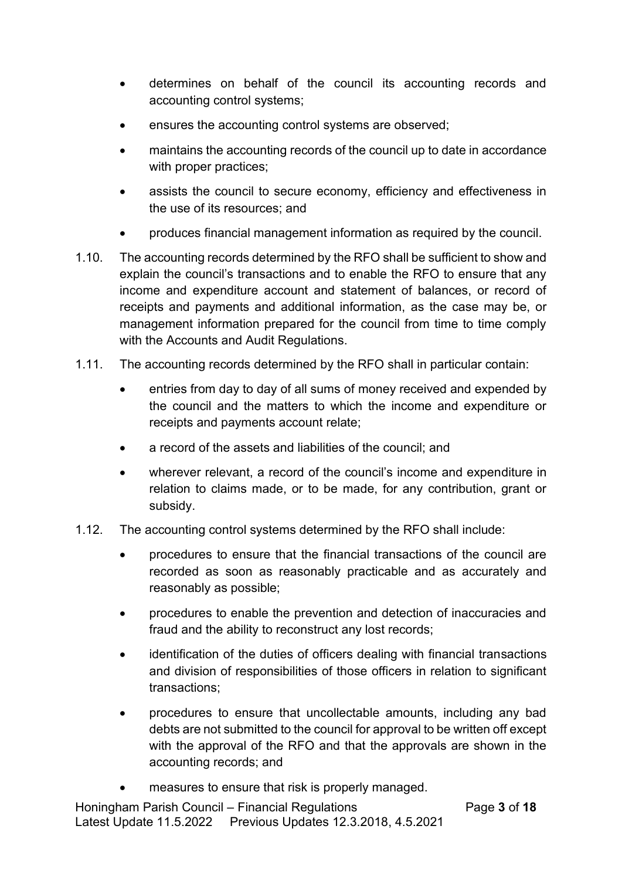- determines on behalf of the council its accounting records and accounting control systems;
- ensures the accounting control systems are observed;
- maintains the accounting records of the council up to date in accordance with proper practices;
- assists the council to secure economy, efficiency and effectiveness in the use of its resources; and
- produces financial management information as required by the council.
- 1.10. The accounting records determined by the RFO shall be sufficient to show and explain the council's transactions and to enable the RFO to ensure that any income and expenditure account and statement of balances, or record of receipts and payments and additional information, as the case may be, or management information prepared for the council from time to time comply with the Accounts and Audit Regulations.
- 1.11. The accounting records determined by the RFO shall in particular contain:
	- entries from day to day of all sums of money received and expended by the council and the matters to which the income and expenditure or receipts and payments account relate;
	- a record of the assets and liabilities of the council; and
	- wherever relevant, a record of the council's income and expenditure in relation to claims made, or to be made, for any contribution, grant or subsidy.
- 1.12. The accounting control systems determined by the RFO shall include:
	- procedures to ensure that the financial transactions of the council are recorded as soon as reasonably practicable and as accurately and reasonably as possible;
	- procedures to enable the prevention and detection of inaccuracies and fraud and the ability to reconstruct any lost records;
	- identification of the duties of officers dealing with financial transactions and division of responsibilities of those officers in relation to significant transactions;
	- procedures to ensure that uncollectable amounts, including any bad debts are not submitted to the council for approval to be written off except with the approval of the RFO and that the approvals are shown in the accounting records; and
	- measures to ensure that risk is properly managed.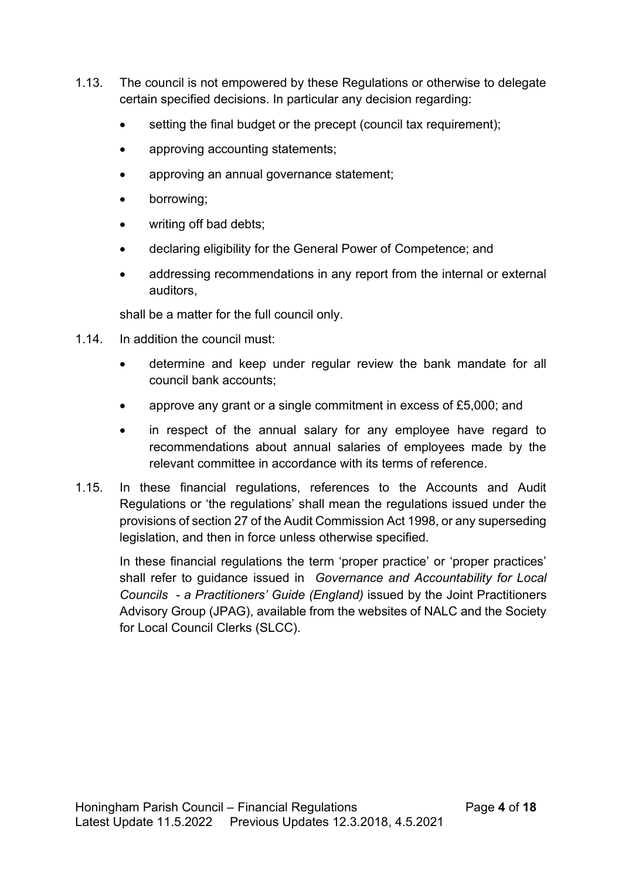- 1.13. The council is not empowered by these Regulations or otherwise to delegate certain specified decisions. In particular any decision regarding:
	- setting the final budget or the precept (council tax requirement);
	- approving accounting statements;
	- approving an annual governance statement;
	- borrowing;
	- writing off bad debts;
	- declaring eligibility for the General Power of Competence; and
	- addressing recommendations in any report from the internal or external auditors,

shall be a matter for the full council only.

- 1.14. In addition the council must:
	- determine and keep under regular review the bank mandate for all council bank accounts;
	- approve any grant or a single commitment in excess of £5,000; and
	- in respect of the annual salary for any employee have regard to recommendations about annual salaries of employees made by the relevant committee in accordance with its terms of reference.
- 1.15. In these financial regulations, references to the Accounts and Audit Regulations or 'the regulations' shall mean the regulations issued under the provisions of section 27 of the Audit Commission Act 1998, or any superseding legislation, and then in force unless otherwise specified.

In these financial regulations the term 'proper practice' or 'proper practices' shall refer to guidance issued in *Governance and Accountability for Local Councils - a Practitioners' Guide (England)* issued by the Joint Practitioners Advisory Group (JPAG), available from the websites of NALC and the Society for Local Council Clerks (SLCC).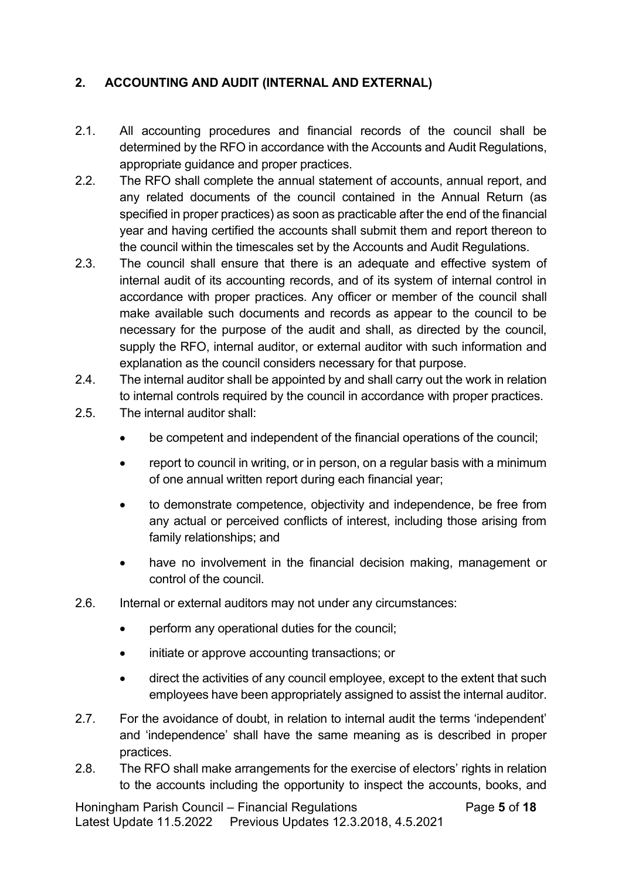## **2. ACCOUNTING AND AUDIT (INTERNAL AND EXTERNAL)**

- 2.1. All accounting procedures and financial records of the council shall be determined by the RFO in accordance with the Accounts and Audit Regulations, appropriate guidance and proper practices.
- 2.2. The RFO shall complete the annual statement of accounts, annual report, and any related documents of the council contained in the Annual Return (as specified in proper practices) as soon as practicable after the end of the financial year and having certified the accounts shall submit them and report thereon to the council within the timescales set by the Accounts and Audit Regulations.
- 2.3. The council shall ensure that there is an adequate and effective system of internal audit of its accounting records, and of its system of internal control in accordance with proper practices. Any officer or member of the council shall make available such documents and records as appear to the council to be necessary for the purpose of the audit and shall, as directed by the council, supply the RFO, internal auditor, or external auditor with such information and explanation as the council considers necessary for that purpose.
- 2.4. The internal auditor shall be appointed by and shall carry out the work in relation to internal controls required by the council in accordance with proper practices.
- 2.5. The internal auditor shall:
	- be competent and independent of the financial operations of the council;
	- report to council in writing, or in person, on a regular basis with a minimum of one annual written report during each financial year;
	- to demonstrate competence, objectivity and independence, be free from any actual or perceived conflicts of interest, including those arising from family relationships; and
	- have no involvement in the financial decision making, management or control of the council.
- 2.6. Internal or external auditors may not under any circumstances:
	- perform any operational duties for the council:
	- initiate or approve accounting transactions; or
	- direct the activities of any council employee, except to the extent that such employees have been appropriately assigned to assist the internal auditor.
- 2.7. For the avoidance of doubt, in relation to internal audit the terms 'independent' and 'independence' shall have the same meaning as is described in proper practices.
- 2.8. The RFO shall make arrangements for the exercise of electors' rights in relation to the accounts including the opportunity to inspect the accounts, books, and

Honingham Parish Council – Financial Regulations Page **5** of **18** Latest Update 11.5.2022 Previous Updates 12.3.2018, 4.5.2021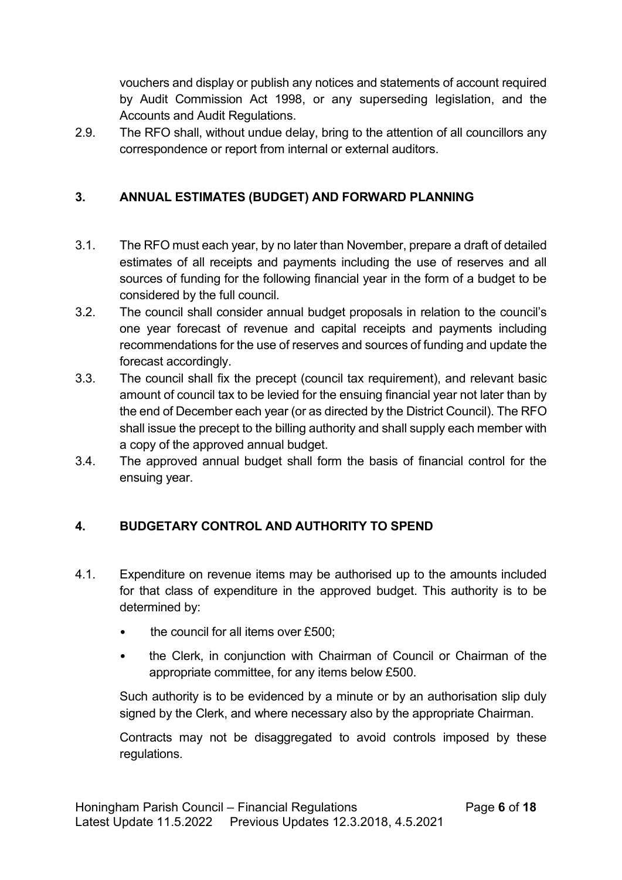vouchers and display or publish any notices and statements of account required by Audit Commission Act 1998, or any superseding legislation, and the Accounts and Audit Regulations.

2.9. The RFO shall, without undue delay, bring to the attention of all councillors any correspondence or report from internal or external auditors.

## **3. ANNUAL ESTIMATES (BUDGET) AND FORWARD PLANNING**

- 3.1. The RFO must each year, by no later than November, prepare a draft of detailed estimates of all receipts and payments including the use of reserves and all sources of funding for the following financial year in the form of a budget to be considered by the full council.
- 3.2. The council shall consider annual budget proposals in relation to the council's one year forecast of revenue and capital receipts and payments including recommendations for the use of reserves and sources of funding and update the forecast accordingly.
- 3.3. The council shall fix the precept (council tax requirement), and relevant basic amount of council tax to be levied for the ensuing financial year not later than by the end of December each year (or as directed by the District Council). The RFO shall issue the precept to the billing authority and shall supply each member with a copy of the approved annual budget.
- 3.4. The approved annual budget shall form the basis of financial control for the ensuing year.

## **4. BUDGETARY CONTROL AND AUTHORITY TO SPEND**

- 4.1. Expenditure on revenue items may be authorised up to the amounts included for that class of expenditure in the approved budget. This authority is to be determined by:
	- the council for all items over £500;
	- the Clerk, in conjunction with Chairman of Council or Chairman of the appropriate committee, for any items below £500.

Such authority is to be evidenced by a minute or by an authorisation slip duly signed by the Clerk, and where necessary also by the appropriate Chairman.

Contracts may not be disaggregated to avoid controls imposed by these regulations.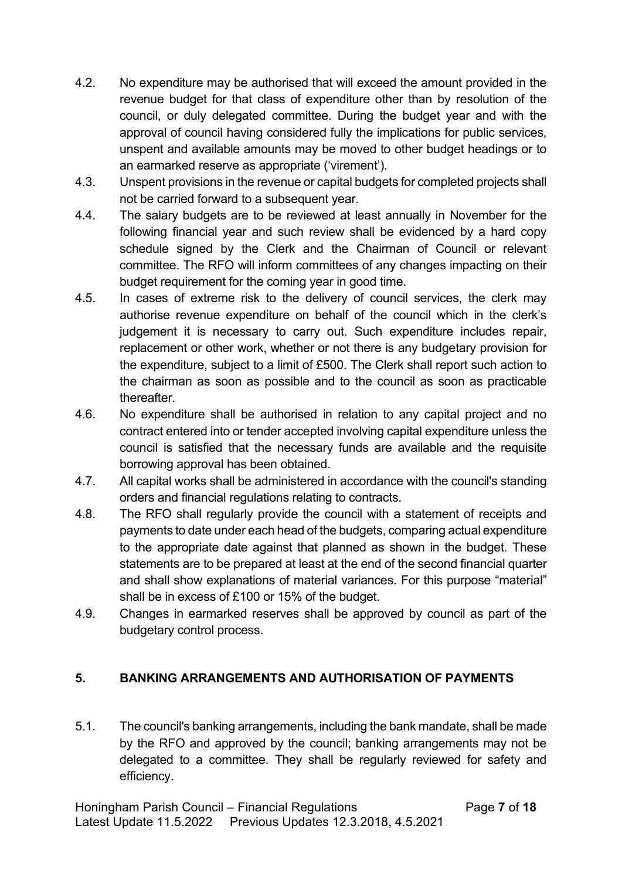- 4.2. No expenditure may be authorised that will exceed the amount provided in the revenue budget for that class of expenditure other than by resolution of the council, or duly delegated committee. During the budget year and with the approval of council having considered fully the implications for public services, unspent and available amounts may be moved to other budget headings or to an earmarked reserve as appropriate ('virement').
- 4.3. Unspent provisions in the revenue or capital budgets for completed projects shall not be carried forward to a subsequent year.
- 4.4. The salary budgets are to be reviewed at least annually in November for the following financial year and such review shall be evidenced by a hard copy schedule signed by the Clerk and the Chairman of Council or relevant committee. The RFO will inform committees of any changes impacting on their budget requirement for the coming year in good time.
- 4.5. In cases of extreme risk to the delivery of council services, the clerk may authorise revenue expenditure on behalf of the council which in the clerk's judgement it is necessary to carry out. Such expenditure includes repair, replacement or other work, whether or not there is any budgetary provision for the expenditure, subject to a limit of £500. The Clerk shall report such action to the chairman as soon as possible and to the council as soon as practicable thereafter.
- 4.6. No expenditure shall be authorised in relation to any capital project and no contract entered into or tender accepted involving capital expenditure unless the council is satisfied that the necessary funds are available and the requisite borrowing approval has been obtained.
- 4.7. All capital works shall be administered in accordance with the council's standing orders and financial regulations relating to contracts.
- 4.8. The RFO shall regularly provide the council with a statement of receipts and payments to date under each head of the budgets, comparing actual expenditure to the appropriate date against that planned as shown in the budget. These statements are to be prepared at least at the end of the second financial quarter and shall show explanations of material variances. For this purpose "material" shall be in excess of £100 or 15% of the budget.
- 4.9. Changes in earmarked reserves shall be approved by council as part of the budgetary control process.

## **5. BANKING ARRANGEMENTS AND AUTHORISATION OF PAYMENTS**

5.1. The council's banking arrangements, including the bank mandate, shall be made by the RFO and approved by the council; banking arrangements may not be delegated to a committee. They shall be regularly reviewed for safety and efficiency.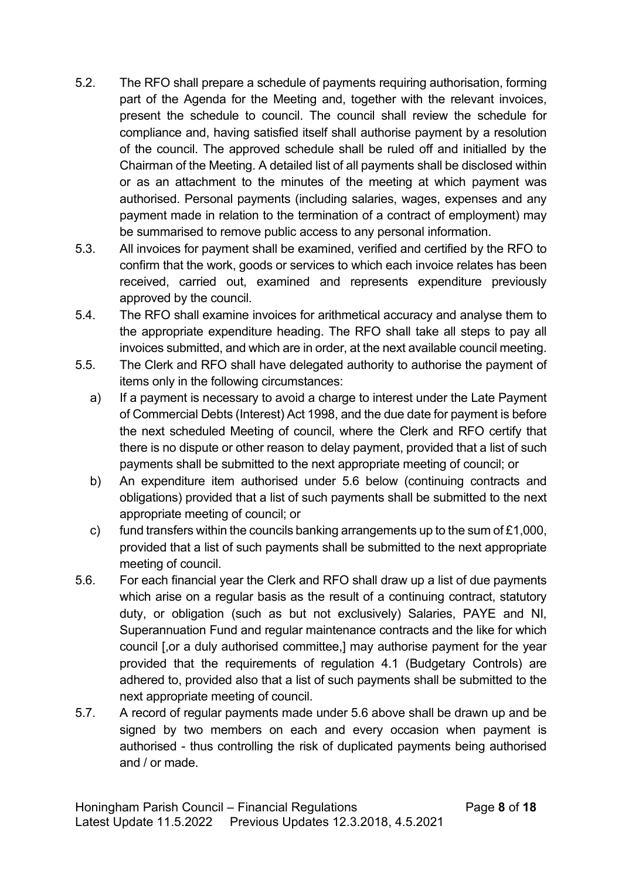- 5.2. The RFO shall prepare a schedule of payments requiring authorisation, forming part of the Agenda for the Meeting and, together with the relevant invoices, present the schedule to council. The council shall review the schedule for compliance and, having satisfied itself shall authorise payment by a resolution of the council. The approved schedule shall be ruled off and initialled by the Chairman of the Meeting. A detailed list of all payments shall be disclosed within or as an attachment to the minutes of the meeting at which payment was authorised. Personal payments (including salaries, wages, expenses and any payment made in relation to the termination of a contract of employment) may be summarised to remove public access to any personal information.
- 5.3. All invoices for payment shall be examined, verified and certified by the RFO to confirm that the work, goods or services to which each invoice relates has been received, carried out, examined and represents expenditure previously approved by the council.
- 5.4. The RFO shall examine invoices for arithmetical accuracy and analyse them to the appropriate expenditure heading. The RFO shall take all steps to pay all invoices submitted, and which are in order, at the next available council meeting.
- 5.5. The Clerk and RFO shall have delegated authority to authorise the payment of items only in the following circumstances:
	- a) If a payment is necessary to avoid a charge to interest under the Late Payment of Commercial Debts (Interest) Act 1998, and the due date for payment is before the next scheduled Meeting of council, where the Clerk and RFO certify that there is no dispute or other reason to delay payment, provided that a list of such payments shall be submitted to the next appropriate meeting of council; or
	- b) An expenditure item authorised under 5.6 below (continuing contracts and obligations) provided that a list of such payments shall be submitted to the next appropriate meeting of council; or
	- c) fund transfers within the councils banking arrangements up to the sum of  $£1,000$ , provided that a list of such payments shall be submitted to the next appropriate meeting of council.
- 5.6. For each financial year the Clerk and RFO shall draw up a list of due payments which arise on a regular basis as the result of a continuing contract, statutory duty, or obligation (such as but not exclusively) Salaries, PAYE and NI, Superannuation Fund and regular maintenance contracts and the like for which council [,or a duly authorised committee,] may authorise payment for the year provided that the requirements of regulation 4.1 (Budgetary Controls) are adhered to, provided also that a list of such payments shall be submitted to the next appropriate meeting of council.
- 5.7. A record of regular payments made under 5.6 above shall be drawn up and be signed by two members on each and every occasion when payment is authorised - thus controlling the risk of duplicated payments being authorised and / or made.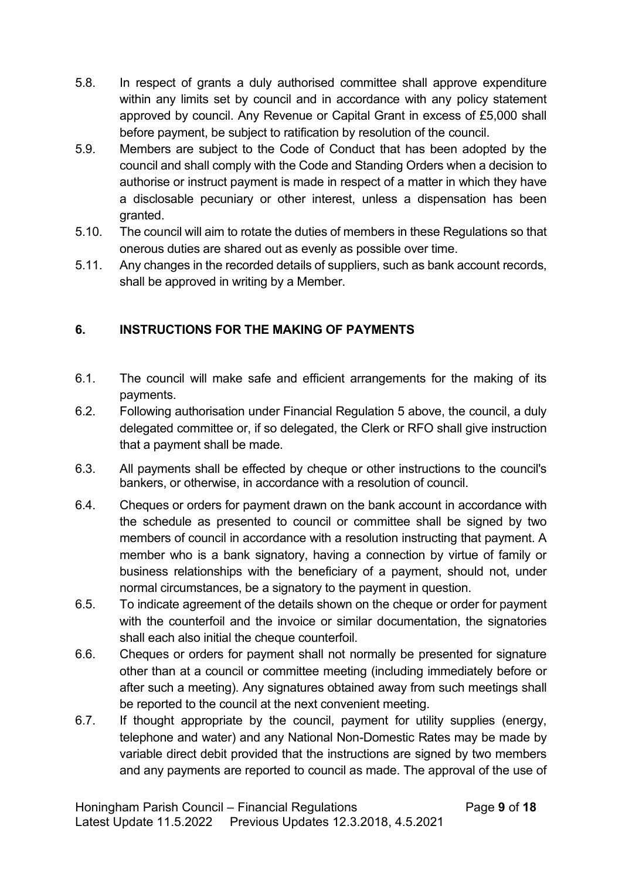- 5.8. In respect of grants a duly authorised committee shall approve expenditure within any limits set by council and in accordance with any policy statement approved by council. Any Revenue or Capital Grant in excess of £5,000 shall before payment, be subject to ratification by resolution of the council.
- 5.9. Members are subject to the Code of Conduct that has been adopted by the council and shall comply with the Code and Standing Orders when a decision to authorise or instruct payment is made in respect of a matter in which they have a disclosable pecuniary or other interest, unless a dispensation has been granted.
- 5.10. The council will aim to rotate the duties of members in these Regulations so that onerous duties are shared out as evenly as possible over time.
- 5.11. Any changes in the recorded details of suppliers, such as bank account records, shall be approved in writing by a Member.

## **6. INSTRUCTIONS FOR THE MAKING OF PAYMENTS**

- 6.1. The council will make safe and efficient arrangements for the making of its payments.
- 6.2. Following authorisation under Financial Regulation 5 above, the council, a duly delegated committee or, if so delegated, the Clerk or RFO shall give instruction that a payment shall be made.
- 6.3. All payments shall be effected by cheque or other instructions to the council's bankers, or otherwise, in accordance with a resolution of council.
- 6.4. Cheques or orders for payment drawn on the bank account in accordance with the schedule as presented to council or committee shall be signed by two members of council in accordance with a resolution instructing that payment. A member who is a bank signatory, having a connection by virtue of family or business relationships with the beneficiary of a payment, should not, under normal circumstances, be a signatory to the payment in question.
- 6.5. To indicate agreement of the details shown on the cheque or order for payment with the counterfoil and the invoice or similar documentation, the signatories shall each also initial the cheque counterfoil.
- 6.6. Cheques or orders for payment shall not normally be presented for signature other than at a council or committee meeting (including immediately before or after such a meeting). Any signatures obtained away from such meetings shall be reported to the council at the next convenient meeting.
- 6.7. If thought appropriate by the council, payment for utility supplies (energy, telephone and water) and any National Non-Domestic Rates may be made by variable direct debit provided that the instructions are signed by two members and any payments are reported to council as made. The approval of the use of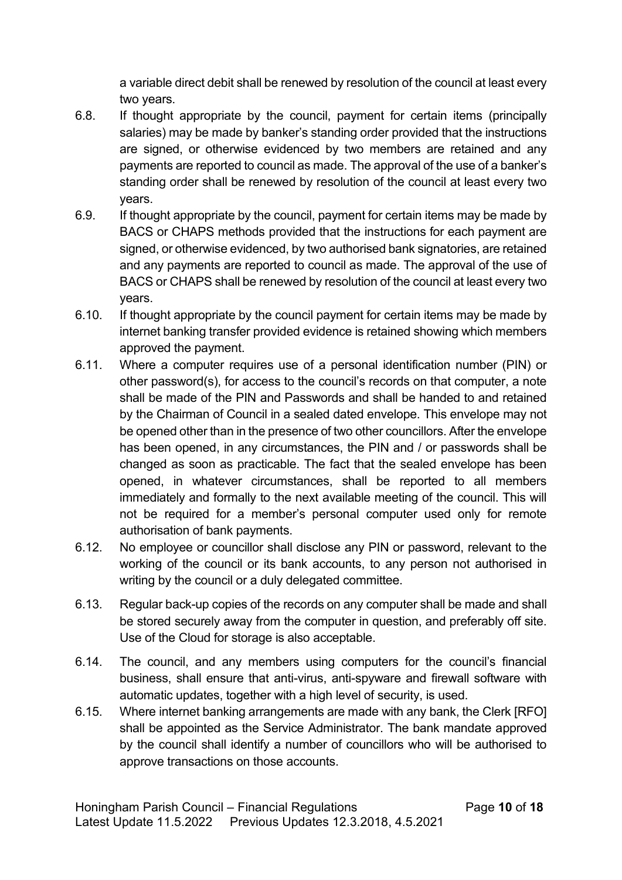a variable direct debit shall be renewed by resolution of the council at least every two years.

- 6.8. If thought appropriate by the council, payment for certain items (principally salaries) may be made by banker's standing order provided that the instructions are signed, or otherwise evidenced by two members are retained and any payments are reported to council as made. The approval of the use of a banker's standing order shall be renewed by resolution of the council at least every two years.
- 6.9. If thought appropriate by the council, payment for certain items may be made by BACS or CHAPS methods provided that the instructions for each payment are signed, or otherwise evidenced, by two authorised bank signatories, are retained and any payments are reported to council as made. The approval of the use of BACS or CHAPS shall be renewed by resolution of the council at least every two years.
- 6.10. If thought appropriate by the council payment for certain items may be made by internet banking transfer provided evidence is retained showing which members approved the payment.
- 6.11. Where a computer requires use of a personal identification number (PIN) or other password(s), for access to the council's records on that computer, a note shall be made of the PIN and Passwords and shall be handed to and retained by the Chairman of Council in a sealed dated envelope. This envelope may not be opened other than in the presence of two other councillors. After the envelope has been opened, in any circumstances, the PIN and / or passwords shall be changed as soon as practicable. The fact that the sealed envelope has been opened, in whatever circumstances, shall be reported to all members immediately and formally to the next available meeting of the council. This will not be required for a member's personal computer used only for remote authorisation of bank payments.
- 6.12. No employee or councillor shall disclose any PIN or password, relevant to the working of the council or its bank accounts, to any person not authorised in writing by the council or a duly delegated committee.
- 6.13. Regular back-up copies of the records on any computer shall be made and shall be stored securely away from the computer in question, and preferably off site. Use of the Cloud for storage is also acceptable.
- 6.14. The council, and any members using computers for the council's financial business, shall ensure that anti-virus, anti-spyware and firewall software with automatic updates, together with a high level of security, is used.
- 6.15. Where internet banking arrangements are made with any bank, the Clerk [RFO] shall be appointed as the Service Administrator. The bank mandate approved by the council shall identify a number of councillors who will be authorised to approve transactions on those accounts.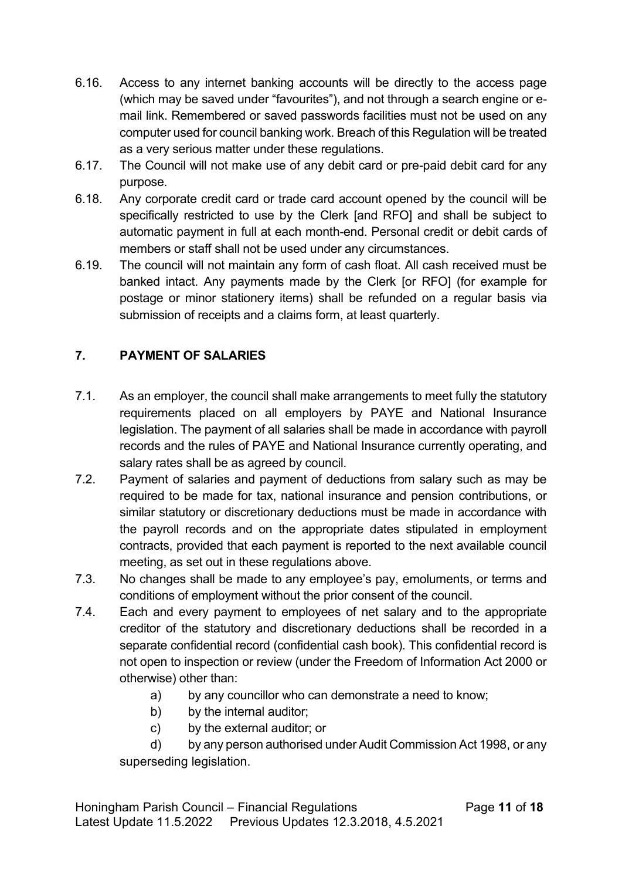- 6.16. Access to any internet banking accounts will be directly to the access page (which may be saved under "favourites"), and not through a search engine or email link. Remembered or saved passwords facilities must not be used on any computer used for council banking work. Breach of this Regulation will be treated as a very serious matter under these regulations.
- 6.17. The Council will not make use of any debit card or pre-paid debit card for any purpose.
- 6.18. Any corporate credit card or trade card account opened by the council will be specifically restricted to use by the Clerk [and RFO] and shall be subject to automatic payment in full at each month-end. Personal credit or debit cards of members or staff shall not be used under any circumstances.
- 6.19. The council will not maintain any form of cash float. All cash received must be banked intact. Any payments made by the Clerk [or RFO] (for example for postage or minor stationery items) shall be refunded on a regular basis via submission of receipts and a claims form, at least quarterly.

# **7. PAYMENT OF SALARIES**

- 7.1. As an employer, the council shall make arrangements to meet fully the statutory requirements placed on all employers by PAYE and National Insurance legislation. The payment of all salaries shall be made in accordance with payroll records and the rules of PAYE and National Insurance currently operating, and salary rates shall be as agreed by council.
- 7.2. Payment of salaries and payment of deductions from salary such as may be required to be made for tax, national insurance and pension contributions, or similar statutory or discretionary deductions must be made in accordance with the payroll records and on the appropriate dates stipulated in employment contracts, provided that each payment is reported to the next available council meeting, as set out in these regulations above.
- 7.3. No changes shall be made to any employee's pay, emoluments, or terms and conditions of employment without the prior consent of the council.
- 7.4. Each and every payment to employees of net salary and to the appropriate creditor of the statutory and discretionary deductions shall be recorded in a separate confidential record (confidential cash book). This confidential record is not open to inspection or review (under the Freedom of Information Act 2000 or otherwise) other than:
	- a) by any councillor who can demonstrate a need to know;
	- b) by the internal auditor;
	- c) by the external auditor; or

d) by any person authorised under Audit Commission Act 1998, or any superseding legislation.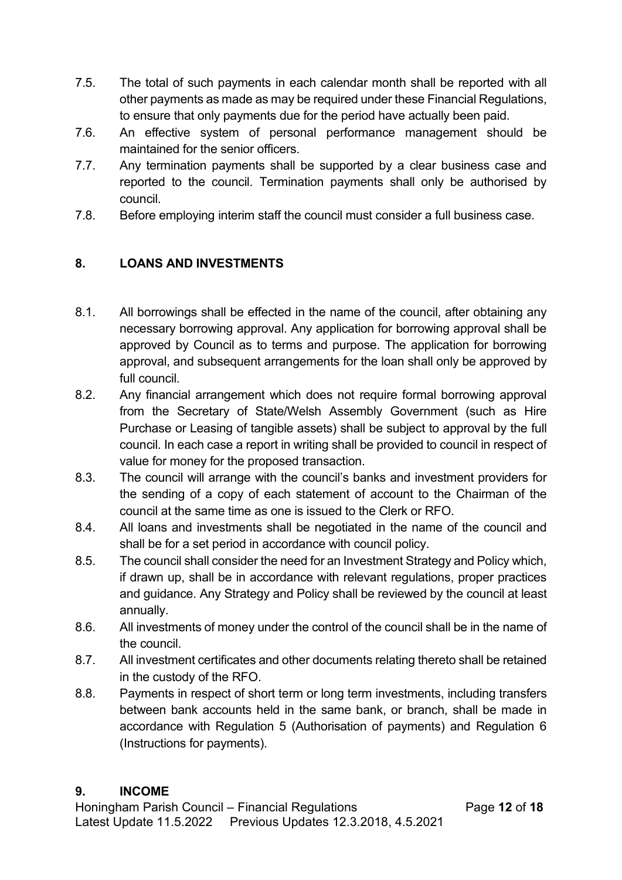- 7.5. The total of such payments in each calendar month shall be reported with all other payments as made as may be required under these Financial Regulations, to ensure that only payments due for the period have actually been paid.
- 7.6. An effective system of personal performance management should be maintained for the senior officers.
- 7.7. Any termination payments shall be supported by a clear business case and reported to the council. Termination payments shall only be authorised by council.
- 7.8. Before employing interim staff the council must consider a full business case.

# **8. LOANS AND INVESTMENTS**

- 8.1. All borrowings shall be effected in the name of the council, after obtaining any necessary borrowing approval. Any application for borrowing approval shall be approved by Council as to terms and purpose. The application for borrowing approval, and subsequent arrangements for the loan shall only be approved by full council.
- 8.2. Any financial arrangement which does not require formal borrowing approval from the Secretary of State/Welsh Assembly Government (such as Hire Purchase or Leasing of tangible assets) shall be subject to approval by the full council. In each case a report in writing shall be provided to council in respect of value for money for the proposed transaction.
- 8.3. The council will arrange with the council's banks and investment providers for the sending of a copy of each statement of account to the Chairman of the council at the same time as one is issued to the Clerk or RFO.
- 8.4. All loans and investments shall be negotiated in the name of the council and shall be for a set period in accordance with council policy.
- 8.5. The council shall consider the need for an Investment Strategy and Policy which, if drawn up, shall be in accordance with relevant regulations, proper practices and guidance. Any Strategy and Policy shall be reviewed by the council at least annually.
- 8.6. All investments of money under the control of the council shall be in the name of the council.
- 8.7. All investment certificates and other documents relating thereto shall be retained in the custody of the RFO.
- 8.8. Payments in respect of short term or long term investments, including transfers between bank accounts held in the same bank, or branch, shall be made in accordance with Regulation 5 (Authorisation of payments) and Regulation 6 (Instructions for payments).

## **9. INCOME**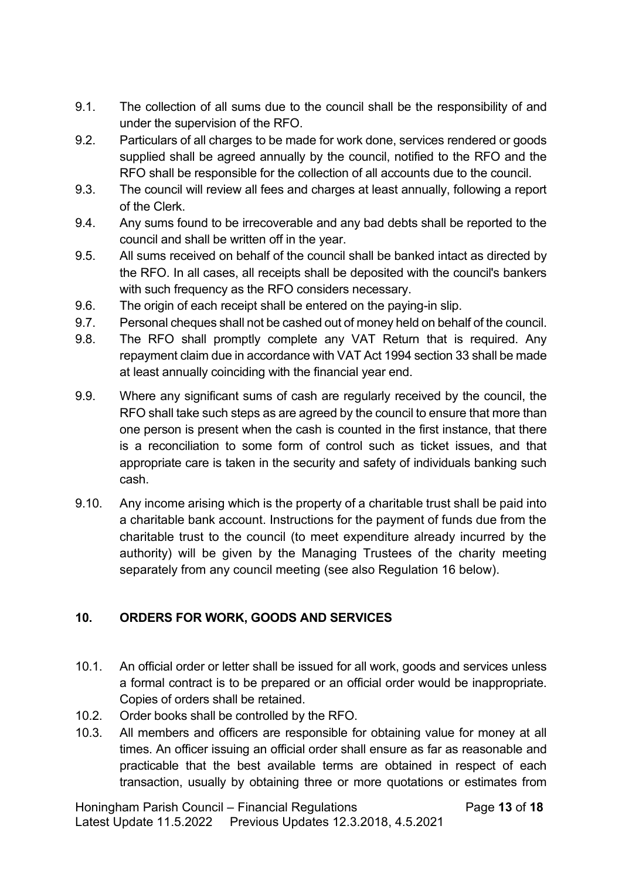- 9.1. The collection of all sums due to the council shall be the responsibility of and under the supervision of the RFO.
- 9.2. Particulars of all charges to be made for work done, services rendered or goods supplied shall be agreed annually by the council, notified to the RFO and the RFO shall be responsible for the collection of all accounts due to the council.
- 9.3. The council will review all fees and charges at least annually, following a report of the Clerk.
- 9.4. Any sums found to be irrecoverable and any bad debts shall be reported to the council and shall be written off in the year.
- 9.5. All sums received on behalf of the council shall be banked intact as directed by the RFO. In all cases, all receipts shall be deposited with the council's bankers with such frequency as the RFO considers necessary.
- 9.6. The origin of each receipt shall be entered on the paying-in slip.
- 9.7. Personal cheques shall not be cashed out of money held on behalf of the council.
- 9.8. The RFO shall promptly complete any VAT Return that is required. Any repayment claim due in accordance with VAT Act 1994 section 33 shall be made at least annually coinciding with the financial year end.
- 9.9. Where any significant sums of cash are regularly received by the council, the RFO shall take such steps as are agreed by the council to ensure that more than one person is present when the cash is counted in the first instance, that there is a reconciliation to some form of control such as ticket issues, and that appropriate care is taken in the security and safety of individuals banking such cash.
- 9.10. Any income arising which is the property of a charitable trust shall be paid into a charitable bank account. Instructions for the payment of funds due from the charitable trust to the council (to meet expenditure already incurred by the authority) will be given by the Managing Trustees of the charity meeting separately from any council meeting (see also Regulation 16 below).

## **10. ORDERS FOR WORK, GOODS AND SERVICES**

- 10.1. An official order or letter shall be issued for all work, goods and services unless a formal contract is to be prepared or an official order would be inappropriate. Copies of orders shall be retained.
- 10.2. Order books shall be controlled by the RFO.
- 10.3. All members and officers are responsible for obtaining value for money at all times. An officer issuing an official order shall ensure as far as reasonable and practicable that the best available terms are obtained in respect of each transaction, usually by obtaining three or more quotations or estimates from

Honingham Parish Council – Financial Regulations Page **13** of **18** Latest Update 11.5.2022 Previous Updates 12.3.2018, 4.5.2021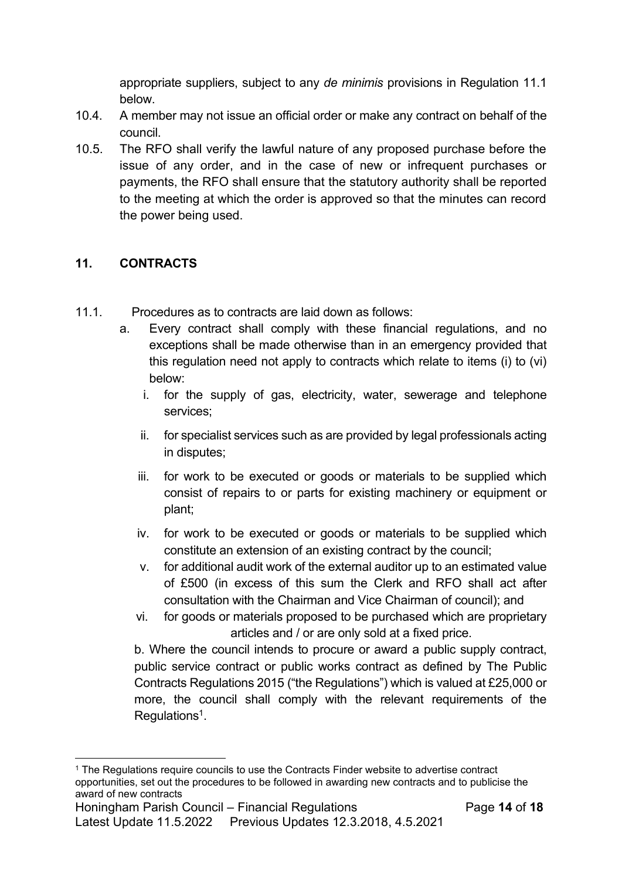appropriate suppliers, subject to any *de minimis* provisions in Regulation 11.1 below.

- 10.4. A member may not issue an official order or make any contract on behalf of the council.
- 10.5. The RFO shall verify the lawful nature of any proposed purchase before the issue of any order, and in the case of new or infrequent purchases or payments, the RFO shall ensure that the statutory authority shall be reported to the meeting at which the order is approved so that the minutes can record the power being used.

### **11. CONTRACTS**

- 11.1. Procedures as to contracts are laid down as follows:
	- a. Every contract shall comply with these financial regulations, and no exceptions shall be made otherwise than in an emergency provided that this regulation need not apply to contracts which relate to items (i) to (vi) below:
		- i. for the supply of gas, electricity, water, sewerage and telephone services;
		- ii. for specialist services such as are provided by legal professionals acting in disputes;
		- iii. for work to be executed or goods or materials to be supplied which consist of repairs to or parts for existing machinery or equipment or plant;
		- iv. for work to be executed or goods or materials to be supplied which constitute an extension of an existing contract by the council;
		- v. for additional audit work of the external auditor up to an estimated value of £500 (in excess of this sum the Clerk and RFO shall act after consultation with the Chairman and Vice Chairman of council); and
		- vi. for goods or materials proposed to be purchased which are proprietary articles and / or are only sold at a fixed price.

b. Where the council intends to procure or award a public supply contract, public service contract or public works contract as defined by The Public Contracts Regulations 2015 ("the Regulations") which is valued at £25,000 or more, the council shall comply with the relevant requirements of the Regulations<sup>1</sup>.

<sup>&</sup>lt;sup>1</sup> The Regulations require councils to use the Contracts Finder website to advertise contract opportunities, set out the procedures to be followed in awarding new contracts and to publicise the award of new contracts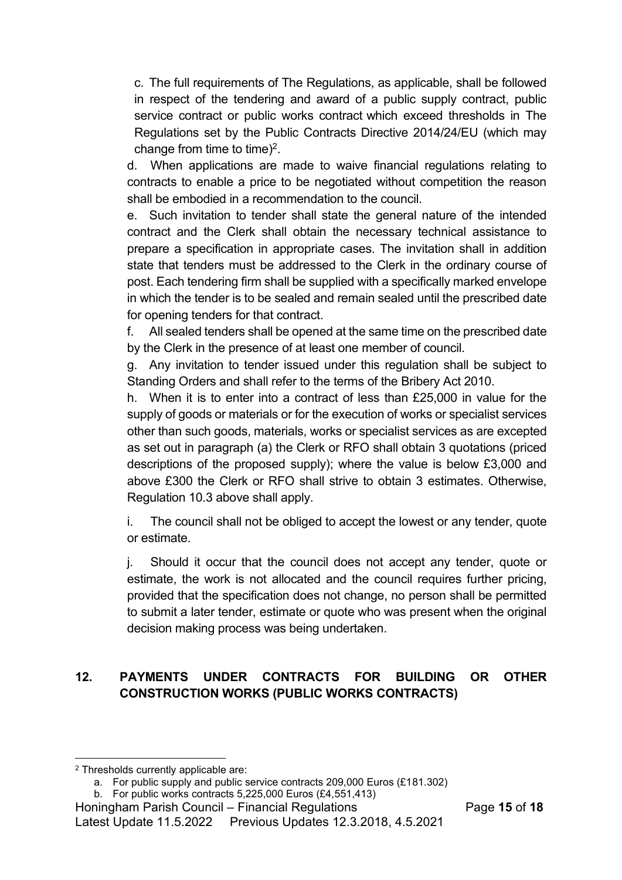c. The full requirements of The Regulations, as applicable, shall be followed in respect of the tendering and award of a public supply contract, public service contract or public works contract which exceed thresholds in The Regulations set by the Public Contracts Directive 2014/24/EU (which may change from time to time)<sup>2</sup>.

d. When applications are made to waive financial regulations relating to contracts to enable a price to be negotiated without competition the reason shall be embodied in a recommendation to the council.

e. Such invitation to tender shall state the general nature of the intended contract and the Clerk shall obtain the necessary technical assistance to prepare a specification in appropriate cases. The invitation shall in addition state that tenders must be addressed to the Clerk in the ordinary course of post. Each tendering firm shall be supplied with a specifically marked envelope in which the tender is to be sealed and remain sealed until the prescribed date for opening tenders for that contract.

f. All sealed tenders shall be opened at the same time on the prescribed date by the Clerk in the presence of at least one member of council.

g. Any invitation to tender issued under this regulation shall be subject to Standing Orders and shall refer to the terms of the Bribery Act 2010.

h. When it is to enter into a contract of less than £25,000 in value for the supply of goods or materials or for the execution of works or specialist services other than such goods, materials, works or specialist services as are excepted as set out in paragraph (a) the Clerk or RFO shall obtain 3 quotations (priced descriptions of the proposed supply); where the value is below £3,000 and above £300 the Clerk or RFO shall strive to obtain 3 estimates. Otherwise, Regulation 10.3 above shall apply.

i. The council shall not be obliged to accept the lowest or any tender, quote or estimate.

j. Should it occur that the council does not accept any tender, quote or estimate, the work is not allocated and the council requires further pricing, provided that the specification does not change, no person shall be permitted to submit a later tender, estimate or quote who was present when the original decision making process was being undertaken.

# **12. PAYMENTS UNDER CONTRACTS FOR BUILDING OR OTHER CONSTRUCTION WORKS (PUBLIC WORKS CONTRACTS)**

<sup>2</sup> Thresholds currently applicable are:

a. For public supply and public service contracts 209,000 Euros (£181.302)

b. For public works contracts 5,225,000 Euros (£4,551,413)

Honingham Parish Council – Financial Regulations Page **15** of **18**

Latest Update 11.5.2022 Previous Updates 12.3.2018, 4.5.2021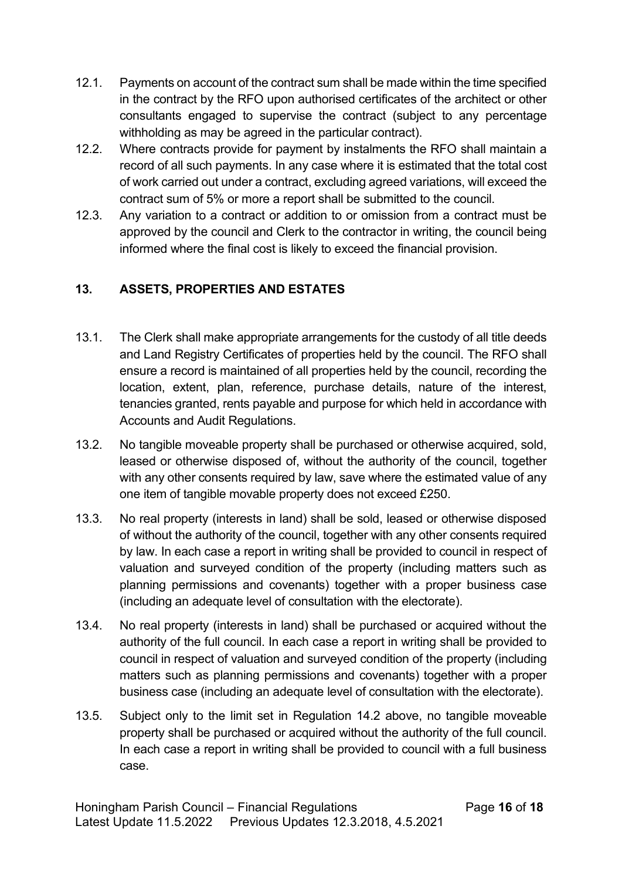- 12.1. Payments on account of the contract sum shall be made within the time specified in the contract by the RFO upon authorised certificates of the architect or other consultants engaged to supervise the contract (subject to any percentage withholding as may be agreed in the particular contract).
- 12.2. Where contracts provide for payment by instalments the RFO shall maintain a record of all such payments. In any case where it is estimated that the total cost of work carried out under a contract, excluding agreed variations, will exceed the contract sum of 5% or more a report shall be submitted to the council.
- 12.3. Any variation to a contract or addition to or omission from a contract must be approved by the council and Clerk to the contractor in writing, the council being informed where the final cost is likely to exceed the financial provision.

# **13. ASSETS, PROPERTIES AND ESTATES**

- 13.1. The Clerk shall make appropriate arrangements for the custody of all title deeds and Land Registry Certificates of properties held by the council. The RFO shall ensure a record is maintained of all properties held by the council, recording the location, extent, plan, reference, purchase details, nature of the interest, tenancies granted, rents payable and purpose for which held in accordance with Accounts and Audit Regulations.
- 13.2. No tangible moveable property shall be purchased or otherwise acquired, sold, leased or otherwise disposed of, without the authority of the council, together with any other consents required by law, save where the estimated value of any one item of tangible movable property does not exceed £250.
- 13.3. No real property (interests in land) shall be sold, leased or otherwise disposed of without the authority of the council, together with any other consents required by law. In each case a report in writing shall be provided to council in respect of valuation and surveyed condition of the property (including matters such as planning permissions and covenants) together with a proper business case (including an adequate level of consultation with the electorate).
- 13.4. No real property (interests in land) shall be purchased or acquired without the authority of the full council. In each case a report in writing shall be provided to council in respect of valuation and surveyed condition of the property (including matters such as planning permissions and covenants) together with a proper business case (including an adequate level of consultation with the electorate).
- 13.5. Subject only to the limit set in Regulation 14.2 above, no tangible moveable property shall be purchased or acquired without the authority of the full council. In each case a report in writing shall be provided to council with a full business case.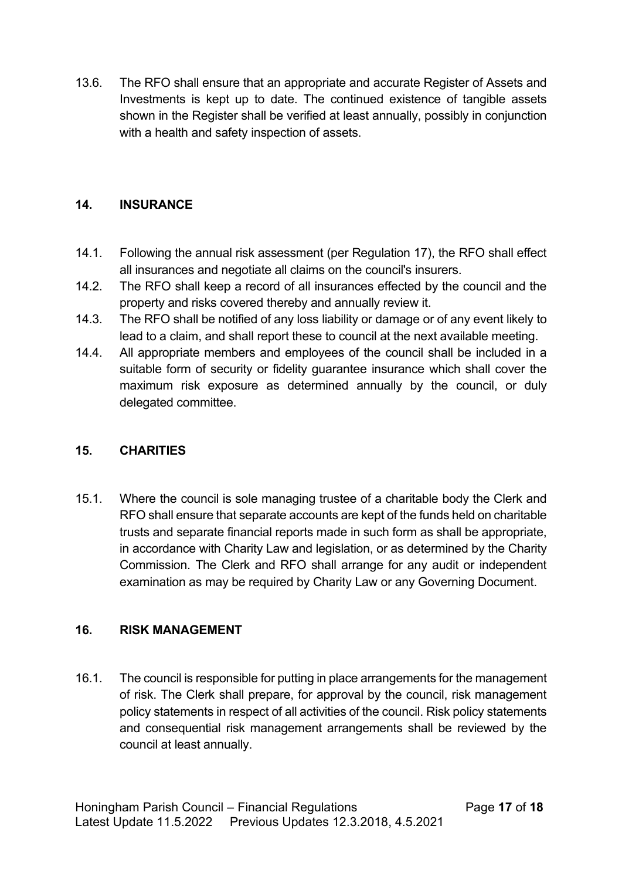13.6. The RFO shall ensure that an appropriate and accurate Register of Assets and Investments is kept up to date. The continued existence of tangible assets shown in the Register shall be verified at least annually, possibly in conjunction with a health and safety inspection of assets.

## **14. INSURANCE**

- 14.1. Following the annual risk assessment (per Regulation 17), the RFO shall effect all insurances and negotiate all claims on the council's insurers.
- 14.2. The RFO shall keep a record of all insurances effected by the council and the property and risks covered thereby and annually review it.
- 14.3. The RFO shall be notified of any loss liability or damage or of any event likely to lead to a claim, and shall report these to council at the next available meeting.
- 14.4. All appropriate members and employees of the council shall be included in a suitable form of security or fidelity guarantee insurance which shall cover the maximum risk exposure as determined annually by the council, or duly delegated committee.

## **15. CHARITIES**

15.1. Where the council is sole managing trustee of a charitable body the Clerk and RFO shall ensure that separate accounts are kept of the funds held on charitable trusts and separate financial reports made in such form as shall be appropriate, in accordance with Charity Law and legislation, or as determined by the Charity Commission. The Clerk and RFO shall arrange for any audit or independent examination as may be required by Charity Law or any Governing Document.

## **16. RISK MANAGEMENT**

16.1. The council is responsible for putting in place arrangements for the management of risk. The Clerk shall prepare, for approval by the council, risk management policy statements in respect of all activities of the council. Risk policy statements and consequential risk management arrangements shall be reviewed by the council at least annually.